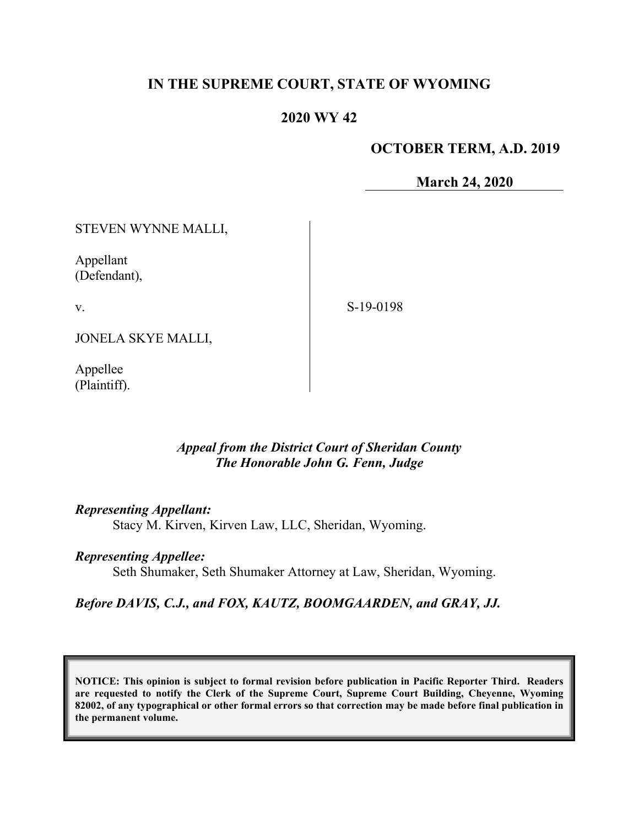### **IN THE SUPREME COURT, STATE OF WYOMING**

### **2020 WY 42**

### **OCTOBER TERM, A.D. 2019**

**March 24, 2020**

STEVEN WYNNE MALLI, Appellant (Defendant), JONELA SKYE MALLI, Appellee S-19-0198

### *Appeal from the District Court of Sheridan County The Honorable John G. Fenn, Judge*

*Representing Appellant:*

Stacy M. Kirven, Kirven Law, LLC, Sheridan, Wyoming.

#### *Representing Appellee:*

Seth Shumaker, Seth Shumaker Attorney at Law, Sheridan, Wyoming.

### *Before DAVIS, C.J., and FOX, KAUTZ, BOOMGAARDEN, and GRAY, JJ.*

**NOTICE: This opinion is subject to formal revision before publication in Pacific Reporter Third. Readers are requested to notify the Clerk of the Supreme Court, Supreme Court Building, Cheyenne, Wyoming 82002, of any typographical or other formal errors so that correction may be made before final publication in the permanent volume.**

v.

(Plaintiff).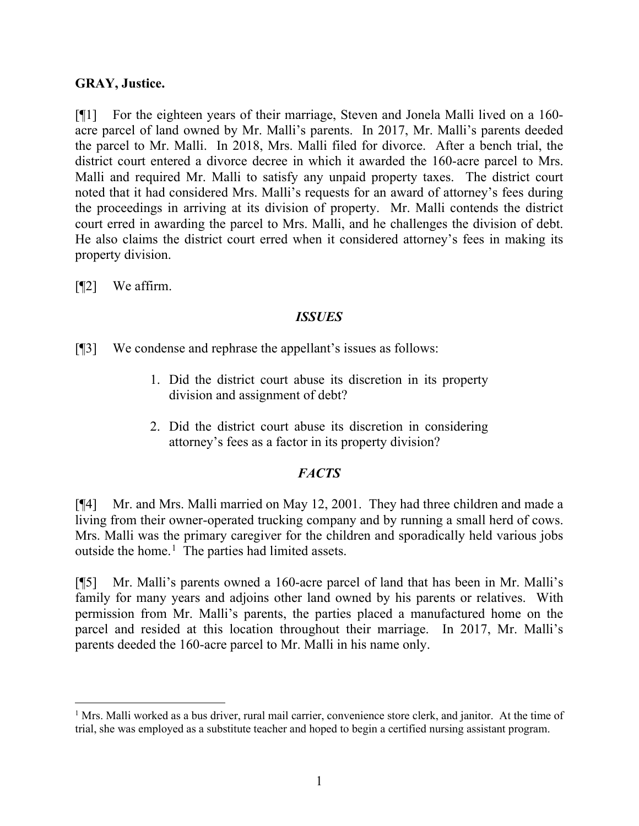#### **GRAY, Justice.**

[¶1] For the eighteen years of their marriage, Steven and Jonela Malli lived on a 160 acre parcel of land owned by Mr. Malli's parents. In 2017, Mr. Malli's parents deeded the parcel to Mr. Malli. In 2018, Mrs. Malli filed for divorce. After a bench trial, the district court entered a divorce decree in which it awarded the 160-acre parcel to Mrs. Malli and required Mr. Malli to satisfy any unpaid property taxes. The district court noted that it had considered Mrs. Malli's requests for an award of attorney's fees during the proceedings in arriving at its division of property. Mr. Malli contends the district court erred in awarding the parcel to Mrs. Malli, and he challenges the division of debt. He also claims the district court erred when it considered attorney's fees in making its property division.

[¶2] We affirm.

### *ISSUES*

[¶3] We condense and rephrase the appellant's issues as follows:

- 1. Did the district court abuse its discretion in its property division and assignment of debt?
- 2. Did the district court abuse its discretion in considering attorney's fees as a factor in its property division?

## *FACTS*

[¶4] Mr. and Mrs. Malli married on May 12, 2001. They had three children and made a living from their owner-operated trucking company and by running a small herd of cows. Mrs. Malli was the primary caregiver for the children and sporadically held various jobs outside the home. [1](#page-1-0) The parties had limited assets.

[¶5] Mr. Malli's parents owned a 160-acre parcel of land that has been in Mr. Malli's family for many years and adjoins other land owned by his parents or relatives. With permission from Mr. Malli's parents, the parties placed a manufactured home on the parcel and resided at this location throughout their marriage. In 2017, Mr. Malli's parents deeded the 160-acre parcel to Mr. Malli in his name only.

<span id="page-1-0"></span><sup>&</sup>lt;sup>1</sup> Mrs. Malli worked as a bus driver, rural mail carrier, convenience store clerk, and janitor. At the time of trial, she was employed as a substitute teacher and hoped to begin a certified nursing assistant program.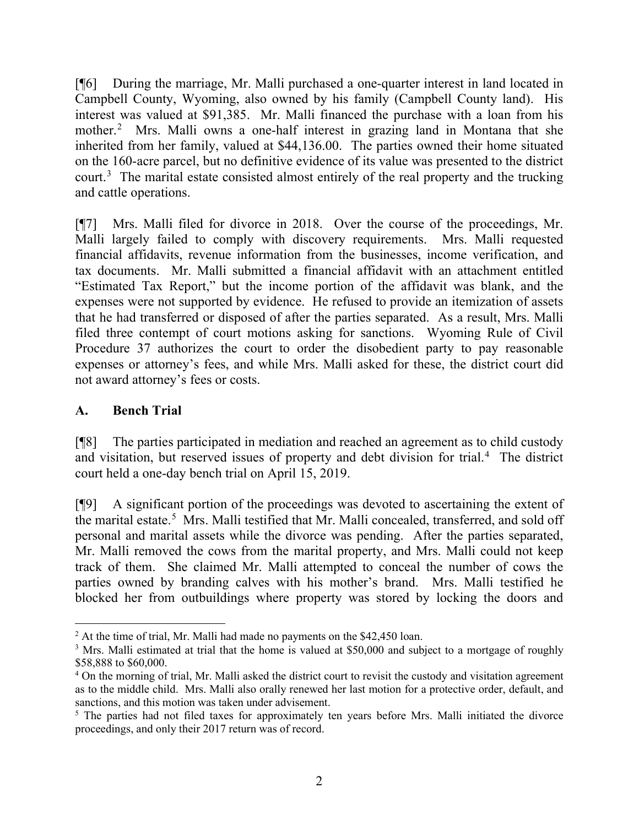[¶6] During the marriage, Mr. Malli purchased a one-quarter interest in land located in Campbell County, Wyoming, also owned by his family (Campbell County land). His interest was valued at \$91,385. Mr. Malli financed the purchase with a loan from his mother.[2](#page-2-0) Mrs. Malli owns a one-half interest in grazing land in Montana that she inherited from her family, valued at \$44,136.00. The parties owned their home situated on the 160-acre parcel, but no definitive evidence of its value was presented to the district court.<sup>[3](#page-2-1)</sup> The marital estate consisted almost entirely of the real property and the trucking and cattle operations.

[¶7] Mrs. Malli filed for divorce in 2018. Over the course of the proceedings, Mr. Malli largely failed to comply with discovery requirements. Mrs. Malli requested financial affidavits, revenue information from the businesses, income verification, and tax documents. Mr. Malli submitted a financial affidavit with an attachment entitled "Estimated Tax Report," but the income portion of the affidavit was blank, and the expenses were not supported by evidence. He refused to provide an itemization of assets that he had transferred or disposed of after the parties separated. As a result, Mrs. Malli filed three contempt of court motions asking for sanctions. Wyoming Rule of Civil Procedure 37 authorizes the court to order the disobedient party to pay reasonable expenses or attorney's fees, and while Mrs. Malli asked for these, the district court did not award attorney's fees or costs.

### **A. Bench Trial**

[¶8] The parties participated in mediation and reached an agreement as to child custody and visitation, but reserved issues of property and debt division for trial.<sup>[4](#page-2-2)</sup> The district court held a one-day bench trial on April 15, 2019.

[¶9] A significant portion of the proceedings was devoted to ascertaining the extent of the marital estate.<sup>[5](#page-2-3)</sup> Mrs. Malli testified that Mr. Malli concealed, transferred, and sold off personal and marital assets while the divorce was pending. After the parties separated, Mr. Malli removed the cows from the marital property, and Mrs. Malli could not keep track of them. She claimed Mr. Malli attempted to conceal the number of cows the parties owned by branding calves with his mother's brand. Mrs. Malli testified he blocked her from outbuildings where property was stored by locking the doors and

<span id="page-2-1"></span><span id="page-2-0"></span><sup>&</sup>lt;sup>2</sup> At the time of trial, Mr. Malli had made no payments on the \$42,450 loan.<br><sup>3</sup> Mrs. Malli estimated at trial that the home is valued at \$50,000 and subject to a mortgage of roughly \$58,888 to \$60,000.

<span id="page-2-2"></span><sup>&</sup>lt;sup>4</sup> On the morning of trial, Mr. Malli asked the district court to revisit the custody and visitation agreement as to the middle child. Mrs. Malli also orally renewed her last motion for a protective order, default, and sanctions, and this motion was taken under advisement.<br><sup>5</sup> The parties had not filed taxes for approximately ten years before Mrs. Malli initiated the divorce

<span id="page-2-3"></span>proceedings, and only their 2017 return was of record.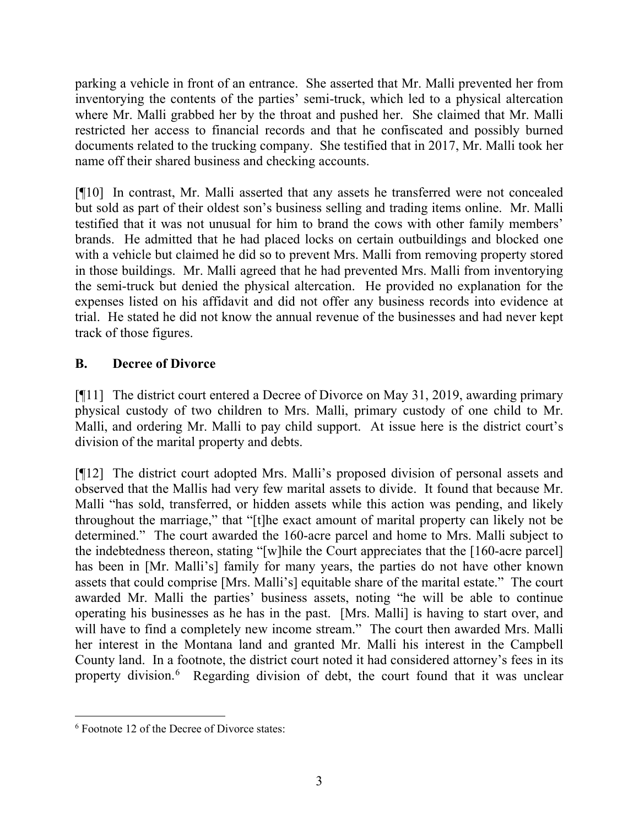parking a vehicle in front of an entrance. She asserted that Mr. Malli prevented her from inventorying the contents of the parties' semi-truck, which led to a physical altercation where Mr. Malli grabbed her by the throat and pushed her. She claimed that Mr. Malli restricted her access to financial records and that he confiscated and possibly burned documents related to the trucking company. She testified that in 2017, Mr. Malli took her name off their shared business and checking accounts.

[¶10] In contrast, Mr. Malli asserted that any assets he transferred were not concealed but sold as part of their oldest son's business selling and trading items online. Mr. Malli testified that it was not unusual for him to brand the cows with other family members' brands. He admitted that he had placed locks on certain outbuildings and blocked one with a vehicle but claimed he did so to prevent Mrs. Malli from removing property stored in those buildings. Mr. Malli agreed that he had prevented Mrs. Malli from inventorying the semi-truck but denied the physical altercation. He provided no explanation for the expenses listed on his affidavit and did not offer any business records into evidence at trial. He stated he did not know the annual revenue of the businesses and had never kept track of those figures.

## **B. Decree of Divorce**

[¶11] The district court entered a Decree of Divorce on May 31, 2019, awarding primary physical custody of two children to Mrs. Malli, primary custody of one child to Mr. Malli, and ordering Mr. Malli to pay child support. At issue here is the district court's division of the marital property and debts.

[¶12] The district court adopted Mrs. Malli's proposed division of personal assets and observed that the Mallis had very few marital assets to divide. It found that because Mr. Malli "has sold, transferred, or hidden assets while this action was pending, and likely throughout the marriage," that "[t]he exact amount of marital property can likely not be determined." The court awarded the 160-acre parcel and home to Mrs. Malli subject to the indebtedness thereon, stating "[w]hile the Court appreciates that the [160-acre parcel] has been in [Mr. Malli's] family for many years, the parties do not have other known assets that could comprise [Mrs. Malli's] equitable share of the marital estate." The court awarded Mr. Malli the parties' business assets, noting "he will be able to continue operating his businesses as he has in the past. [Mrs. Malli] is having to start over, and will have to find a completely new income stream." The court then awarded Mrs. Malli her interest in the Montana land and granted Mr. Malli his interest in the Campbell County land. In a footnote, the district court noted it had considered attorney's fees in its property division.[6](#page-3-0) Regarding division of debt, the court found that it was unclear

<span id="page-3-0"></span><sup>&</sup>lt;sup>6</sup> Footnote 12 of the Decree of Divorce states: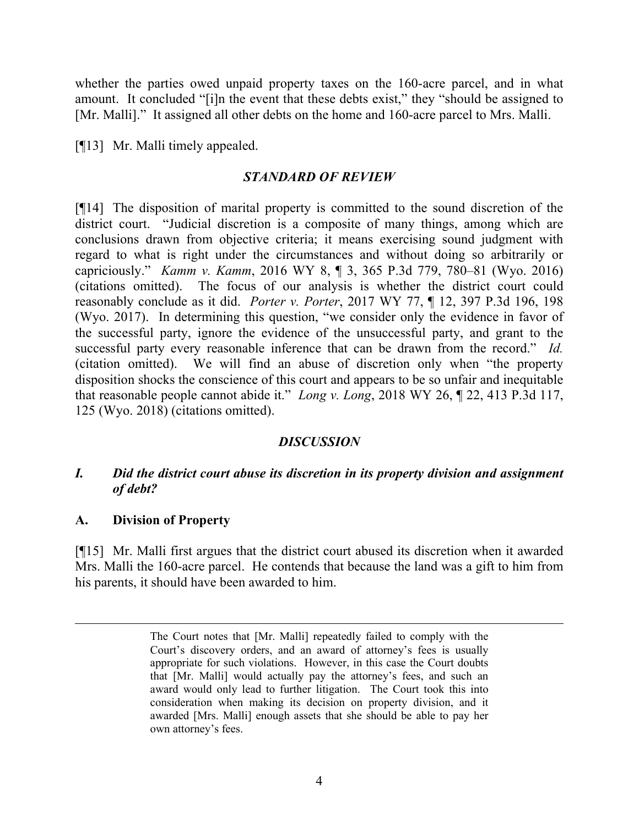whether the parties owed unpaid property taxes on the 160-acre parcel, and in what amount. It concluded "[i]n the event that these debts exist," they "should be assigned to [Mr. Malli]." It assigned all other debts on the home and 160-acre parcel to Mrs. Malli.

[¶13] Mr. Malli timely appealed.

### *STANDARD OF REVIEW*

[¶14] The disposition of marital property is committed to the sound discretion of the district court. "Judicial discretion is a composite of many things, among which are conclusions drawn from objective criteria; it means exercising sound judgment with regard to what is right under the circumstances and without doing so arbitrarily or capriciously." *Kamm v. Kamm*, 2016 WY 8, ¶ 3, 365 P.3d 779, 780–81 (Wyo. 2016) (citations omitted). The focus of our analysis is whether the district court could reasonably conclude as it did. *Porter v. Porter*, 2017 WY 77, ¶ 12, 397 P.3d 196, 198 (Wyo. 2017). In determining this question, "we consider only the evidence in favor of the successful party, ignore the evidence of the unsuccessful party, and grant to the successful party every reasonable inference that can be drawn from the record." *Id.* (citation omitted). We will find an abuse of discretion only when "the property disposition shocks the conscience of this court and appears to be so unfair and inequitable that reasonable people cannot abide it." *Long v. Long*, 2018 WY 26, ¶ 22, 413 P.3d 117, 125 (Wyo. 2018) (citations omitted).

### *DISCUSSION*

### *I. Did the district court abuse its discretion in its property division and assignment of debt?*

### **A. Division of Property**

[¶15] Mr. Malli first argues that the district court abused its discretion when it awarded Mrs. Malli the 160-acre parcel. He contends that because the land was a gift to him from his parents, it should have been awarded to him.

The Court notes that [Mr. Malli] repeatedly failed to comply with the Court's discovery orders, and an award of attorney's fees is usually appropriate for such violations. However, in this case the Court doubts that [Mr. Malli] would actually pay the attorney's fees, and such an award would only lead to further litigation. The Court took this into consideration when making its decision on property division, and it awarded [Mrs. Malli] enough assets that she should be able to pay her own attorney's fees.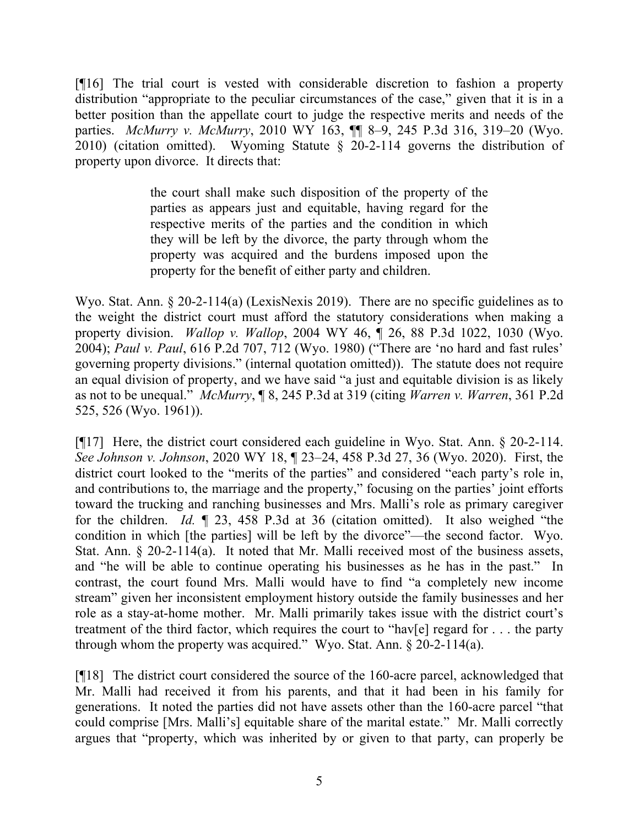[¶16] The trial court is vested with considerable discretion to fashion a property distribution "appropriate to the peculiar circumstances of the case," given that it is in a better position than the appellate court to judge the respective merits and needs of the parties. *McMurry v. McMurry*, 2010 WY 163, ¶¶ 8–9, 245 P.3d 316, 319–20 (Wyo. 2010) (citation omitted). Wyoming Statute § 20-2-114 governs the distribution of property upon divorce. It directs that:

> the court shall make such disposition of the property of the parties as appears just and equitable, having regard for the respective merits of the parties and the condition in which they will be left by the divorce, the party through whom the property was acquired and the burdens imposed upon the property for the benefit of either party and children.

Wyo. Stat. Ann. § 20-2-114(a) (LexisNexis 2019). There are no specific guidelines as to the weight the district court must afford the statutory considerations when making a property division. *Wallop v. Wallop*, 2004 WY 46, ¶ 26, 88 P.3d 1022, 1030 (Wyo. 2004); *Paul v. Paul*, 616 P.2d 707, 712 (Wyo. 1980) ("There are 'no hard and fast rules' governing property divisions." (internal quotation omitted)). The statute does not require an equal division of property, and we have said "a just and equitable division is as likely as not to be unequal." *McMurry*, ¶ 8, 245 P.3d at 319 (citing *Warren v. Warren*, 361 P.2d 525, 526 (Wyo. 1961)).

[¶17] Here, the district court considered each guideline in Wyo. Stat. Ann. § 20-2-114. *See Johnson v. Johnson*, 2020 WY 18, ¶ 23–24, 458 P.3d 27, 36 (Wyo. 2020). First, the district court looked to the "merits of the parties" and considered "each party's role in, and contributions to, the marriage and the property," focusing on the parties' joint efforts toward the trucking and ranching businesses and Mrs. Malli's role as primary caregiver for the children. *Id.* ¶ 23, 458 P.3d at 36 (citation omitted). It also weighed "the condition in which [the parties] will be left by the divorce"—the second factor. Wyo. Stat. Ann. § 20-2-114(a). It noted that Mr. Malli received most of the business assets, and "he will be able to continue operating his businesses as he has in the past." In contrast, the court found Mrs. Malli would have to find "a completely new income stream" given her inconsistent employment history outside the family businesses and her role as a stay-at-home mother. Mr. Malli primarily takes issue with the district court's treatment of the third factor, which requires the court to "hav[e] regard for . . . the party through whom the property was acquired." Wyo. Stat. Ann. § 20-2-114(a).

[¶18] The district court considered the source of the 160-acre parcel, acknowledged that Mr. Malli had received it from his parents, and that it had been in his family for generations. It noted the parties did not have assets other than the 160-acre parcel "that could comprise [Mrs. Malli's] equitable share of the marital estate." Mr. Malli correctly argues that "property, which was inherited by or given to that party, can properly be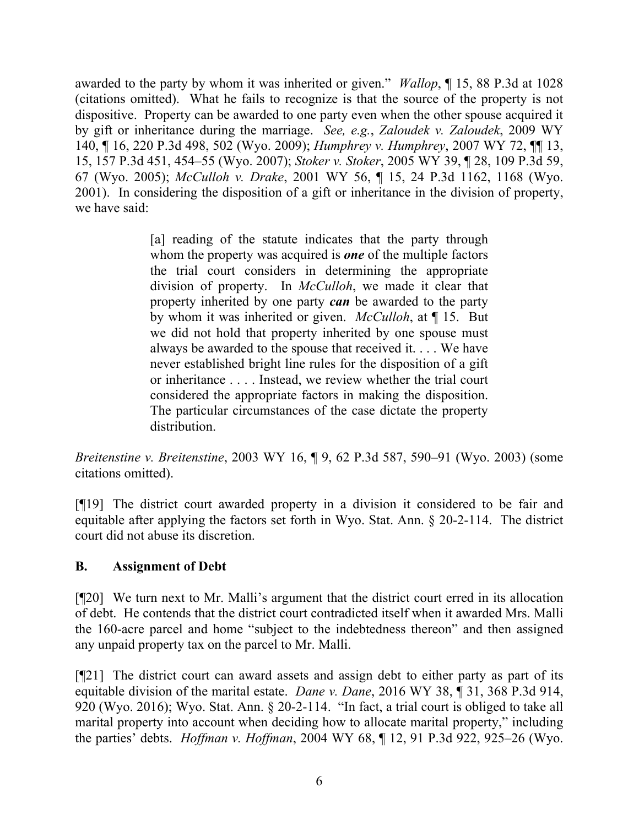awarded to the party by whom it was inherited or given." *Wallop*, ¶ 15, 88 P.3d at 1028 (citations omitted). What he fails to recognize is that the source of the property is not dispositive. Property can be awarded to one party even when the other spouse acquired it by gift or inheritance during the marriage. *See, e.g.*, *Zaloudek v. Zaloudek*, 2009 WY 140, ¶ 16, 220 P.3d 498, 502 (Wyo. 2009); *Humphrey v. Humphrey*, 2007 WY 72, ¶¶ 13, 15, 157 P.3d 451, 454–55 (Wyo. 2007); *Stoker v. Stoker*, 2005 WY 39, ¶ 28, 109 P.3d 59, 67 (Wyo. 2005); *McCulloh v. Drake*, 2001 WY 56, ¶ 15, 24 P.3d 1162, 1168 (Wyo. 2001). In considering the disposition of a gift or inheritance in the division of property, we have said:

> [a] reading of the statute indicates that the party through whom the property was acquired is *one* of the multiple factors the trial court considers in determining the appropriate division of property. In *McCulloh*, we made it clear that property inherited by one party *can* be awarded to the party by whom it was inherited or given. *McCulloh*, at ¶ 15. But we did not hold that property inherited by one spouse must always be awarded to the spouse that received it. . . . We have never established bright line rules for the disposition of a gift or inheritance . . . . Instead, we review whether the trial court considered the appropriate factors in making the disposition. The particular circumstances of the case dictate the property distribution.

*Breitenstine v. Breitenstine*, 2003 WY 16, ¶ 9, 62 P.3d 587, 590–91 (Wyo. 2003) (some citations omitted).

[¶19] The district court awarded property in a division it considered to be fair and equitable after applying the factors set forth in Wyo. Stat. Ann. § 20-2-114. The district court did not abuse its discretion.

### **B. Assignment of Debt**

[¶20] We turn next to Mr. Malli's argument that the district court erred in its allocation of debt. He contends that the district court contradicted itself when it awarded Mrs. Malli the 160-acre parcel and home "subject to the indebtedness thereon" and then assigned any unpaid property tax on the parcel to Mr. Malli.

[¶21] The district court can award assets and assign debt to either party as part of its equitable division of the marital estate. *Dane v. Dane*, 2016 WY 38, ¶ 31, 368 P.3d 914, 920 (Wyo. 2016); Wyo. Stat. Ann. § 20-2-114. "In fact, a trial court is obliged to take all marital property into account when deciding how to allocate marital property," including the parties' debts. *Hoffman v. Hoffman*, 2004 WY 68, ¶ 12, 91 P.3d 922, 925–26 (Wyo.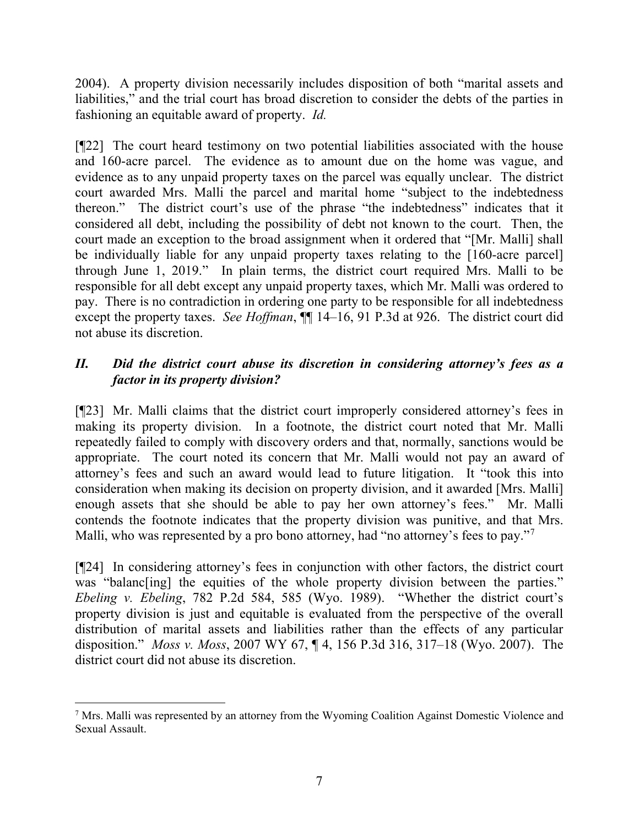2004). A property division necessarily includes disposition of both "marital assets and liabilities," and the trial court has broad discretion to consider the debts of the parties in fashioning an equitable award of property. *Id.*

[¶22] The court heard testimony on two potential liabilities associated with the house and 160-acre parcel. The evidence as to amount due on the home was vague, and evidence as to any unpaid property taxes on the parcel was equally unclear. The district court awarded Mrs. Malli the parcel and marital home "subject to the indebtedness thereon." The district court's use of the phrase "the indebtedness" indicates that it considered all debt, including the possibility of debt not known to the court. Then, the court made an exception to the broad assignment when it ordered that "[Mr. Malli] shall be individually liable for any unpaid property taxes relating to the [160-acre parcel] through June 1, 2019." In plain terms, the district court required Mrs. Malli to be responsible for all debt except any unpaid property taxes, which Mr. Malli was ordered to pay. There is no contradiction in ordering one party to be responsible for all indebtedness except the property taxes. *See Hoffman*,  $\P\P$  14–16, 91 P.3d at 926. The district court did not abuse its discretion.

### *II. Did the district court abuse its discretion in considering attorney's fees as a factor in its property division?*

[¶23] Mr. Malli claims that the district court improperly considered attorney's fees in making its property division. In a footnote, the district court noted that Mr. Malli repeatedly failed to comply with discovery orders and that, normally, sanctions would be appropriate. The court noted its concern that Mr. Malli would not pay an award of attorney's fees and such an award would lead to future litigation. It "took this into consideration when making its decision on property division, and it awarded [Mrs. Malli] enough assets that she should be able to pay her own attorney's fees." Mr. Malli contends the footnote indicates that the property division was punitive, and that Mrs. Malli, who was represented by a pro bono attorney, had "no attorney's fees to pay."<sup>[7](#page-7-0)</sup>

[¶24] In considering attorney's fees in conjunction with other factors, the district court was "balanc[ing] the equities of the whole property division between the parties." *Ebeling v. Ebeling*, 782 P.2d 584, 585 (Wyo. 1989). "Whether the district court's property division is just and equitable is evaluated from the perspective of the overall distribution of marital assets and liabilities rather than the effects of any particular disposition." *Moss v. Moss*, 2007 WY 67, ¶ 4, 156 P.3d 316, 317–18 (Wyo. 2007). The district court did not abuse its discretion.

<span id="page-7-0"></span><sup>&</sup>lt;sup>7</sup> Mrs. Malli was represented by an attorney from the Wyoming Coalition Against Domestic Violence and Sexual Assault.